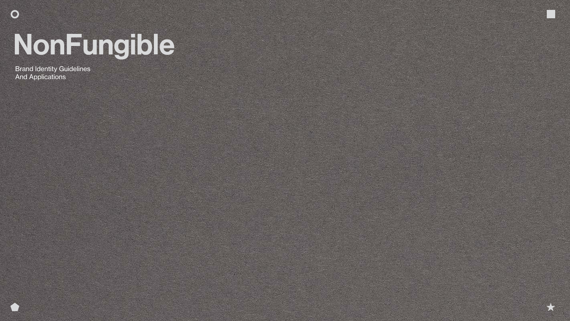## NonFungible

Brand Identity Guidelines And Applications

 $\bullet$ 



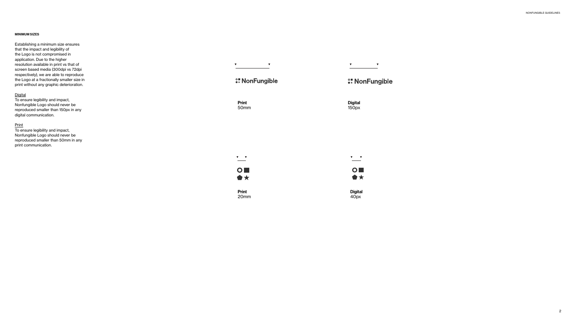NONFUNGIBLE GUIDELINES

### MINIMUM SIZES

Establishing a minimum size ensures that the impact and legibility of the Logo is not compromised in application. Due to the higher resolution available in print vs that of screen based media (300dpi vs 72dpi respectively), we are able to reproduce the Logo at a fractionally smaller size in print without any graphic deterioration.

## **Digital**

**Digital** 150px



To ensure legibility and impact, Nonfungible Logo should never be reproduced smaller than 150px in any digital communication.

## **Print**

To ensure legibility and impact, Nonfungible Logo should never be reproduced smaller than 50mm in any print communication.

**A NonFungible** 

Print 50mm



Print 20mm

 $\begin{picture}(180,10) \put(0,0){\line(1,0){10}} \put(10,0){\line(1,0){10}} \put(10,0){\line(1,0){10}} \put(10,0){\line(1,0){10}} \put(10,0){\line(1,0){10}} \put(10,0){\line(1,0){10}} \put(10,0){\line(1,0){10}} \put(10,0){\line(1,0){10}} \put(10,0){\line(1,0){10}} \put(10,0){\line(1,0){10}} \put(10,0){\line(1,0){10}} \put(10,0){\line($ 

## **SE NonFungible**

 $\begin{array}{ccc} \mathbf{v} & \mathbf{v} & \mathbf{v} \end{array}$ 

Digital 40px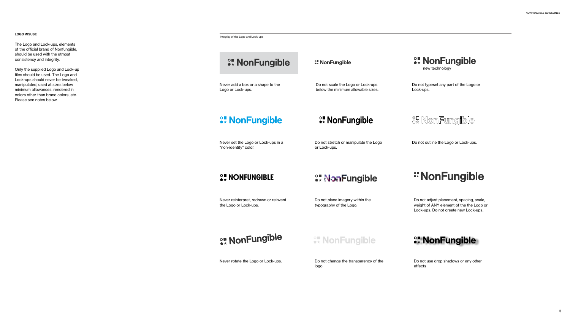**A** NonFungible

## LOGO MISUSE

The Logo and Lock-ups, elements of the official brand of Nonfungible, should be used with the utmost consistency and integrity.

Only the supplied Logo and Lock-up files should be used. The Logo and Lock-ups should never be tweaked, manipulated, used at sizes below minimum allowances, rendered in colors other than brand colors, etc. Please see notes below.

> Do not stretch or manipulate the Logo Do not outline the Logo or Lock-ups. or Lock-ups.



Integrity of the Logo and Lock-ups

## **Example 10 NonFungible**

Never add a box or a shape to the Logo or Lock-ups.

## **ex NonFungible**

Never set the Logo or Lock-ups in a "non-identity" color.

## **OF NONFUNGIBLE**

## **WonFungible** new technology

Never reinterpret, redrawn or reinvent the Logo or Lock-ups.



Never rotate the Logo or Lock-ups.

Do not place imagery within the typography of the Logo.

**Expanding MonFungible** 

## *\** NonFungible

Do not change the transparency of the logo



Do not adjust placement, spacing, scale, weight of ANY element of the the Logo or Lock-ups. Do not create new Lock-ups.

**WonFungible** 

Do not use drop shadows or any other effects

Do not scale the Logo or Lock-ups below the minimum allowable sizes.

<sup>○■</sup> NonFungible

Do not typeset any part of the Logo or Lock-ups.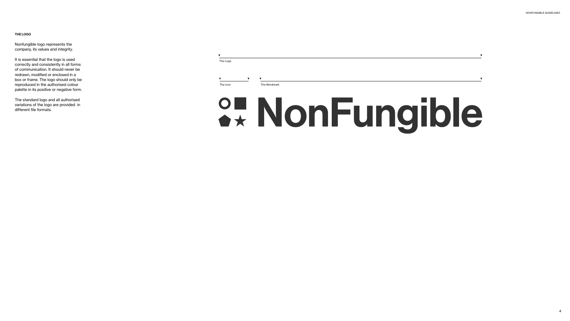NONFUNGIBLE GUIDELINES

 $\overline{\mathbf{v}}$ 

## THE LOGO

Nonfungible logo represents the company, its values and integrity.

It is essential that the logo is used correctly and consistently in all forms of communication. It should never be redrawn, modified or enclosed in a box or frame. The logo should only be reproduced in the authorised colour palette in its positive or negative form.

The standard logo and all authorised variations of the logo are provided in different file formats.



# % NonFungible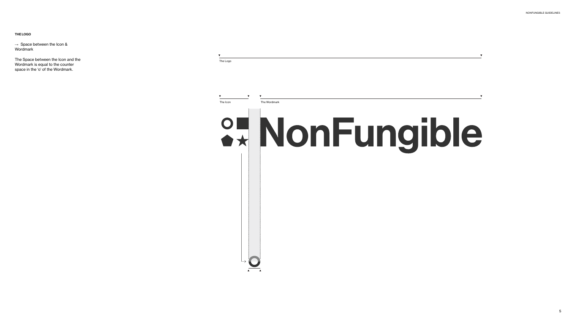NONFUNGIBLE GUIDELINES

THE LOGO

 $\rightarrow$  Space between the Icon & Wordmark

The Space between the Icon and the Wordmark is equal to the counter space in the 'o' of the Wordmark.



 $\begin{array}{c|c}\n\hline\n\end{array}$ 

The Logo

The Wordmark

# 2. NonFungible

 $\overline{\mathbf{v}}$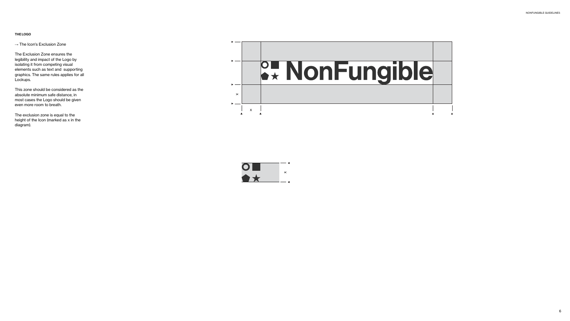## THE LOGO

 $\rightarrow$  The Icon's Exclusion Zone

The Exclusion Zone ensures the legibility and impact of the Logo by isolating it from competing visual elements such as text and supporting graphics. The same rules applies for all Lockups.

This zone should be considered as the absolute minimum safe distance, in most cases the Logo should be given even more room to breath.

The exclusion zone is equal to the height of the Icon (marked as x in the diagram).



x

 $\mathbf O$ 

## & NonFungible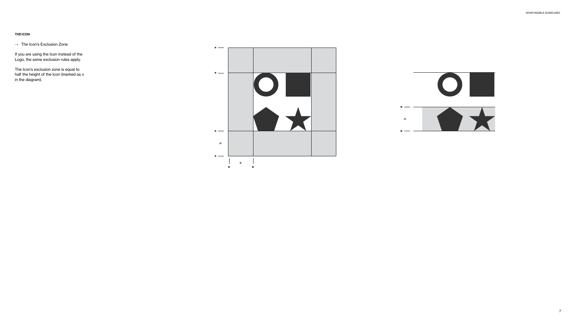## THE ICON

 $\rightarrow$  The Icon's Exclusion Zone

If you are using the Icon instead of the Logo, the same exclusion rules apply.

The Icon's exclusion zone is equal to half the height of the Icon (marked as x in the diagram).